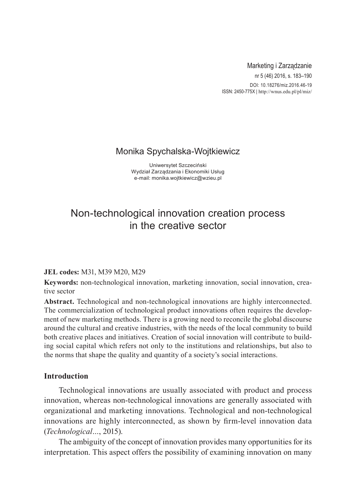## Marketing i Zarządzanie

nr 5 (46) 2016, s. 183–190 DOI: 10.18276/miz.2016.46-19 ISSN: 2450-775X | http://wnus.edu.pl/pl/miz/

# Monika Spychalska-Wojtkiewicz

Uniwersytet Szczeciński Wydział Zarządzania i Ekonomiki Usług e-mail: monika.wojtkiewicz@wzieu.pl

# Non-technological innovation creation process in the creative sector

#### **JEL codes:** M31, M39 M20, M29

**Keywords:** non-technological innovation, marketing innovation, social innovation, creative sector

**Abstract.** Technological and non-technological innovations are highly interconnected. The commercialization of technological product innovations often requires the development of new marketing methods. There is a growing need to reconcile the global discourse around the cultural and creative industries, with the needs of the local community to build both creative places and initiatives. Creation of social innovation will contribute to building social capital which refers not only to the institutions and relationships, but also to the norms that shape the quality and quantity of a society's social interactions.

# **Introduction**

Technological innovations are usually associated with product and process innovation, whereas non-technological innovations are generally associated with organizational and marketing innovations. Technological and non-technological innovations are highly interconnected, as shown by firm-level innovation data (*Technological…*, 2015).

The ambiguity of the concept of innovation provides many opportunities for its interpretation. This aspect offers the possibility of examining innovation on many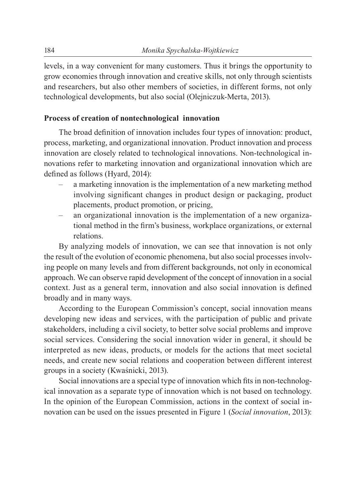levels, in a way convenient for many customers. Thus it brings the opportunity to grow economies through innovation and creative skills, not only through scientists and researchers, but also other members of societies, in different forms, not only technological developments, but also social (Olejniczuk-Merta, 2013).

#### **Process of creation of nontechnological innovation**

The broad definition of innovation includes four types of innovation: product, process, marketing, and organizational innovation. Product innovation and process innovation are closely related to technological innovations. Non-technological innovations refer to marketing innovation and organizational innovation which are defined as follows (Hyard, 2014):

- a marketing innovation is the implementation of a new marketing method involving significant changes in product design or packaging, product placements, product promotion, or pricing,
- an organizational innovation is the implementation of a new organizational method in the firm's business, workplace organizations, or external relations.

By analyzing models of innovation, we can see that innovation is not only the result of the evolution of economic phenomena, but also social processes involving people on many levels and from different backgrounds, not only in economical approach. We can observe rapid development of the concept of innovation in a social context. Just as a general term, innovation and also social innovation is defined broadly and in many ways.

According to the European Commission's concept, social innovation means developing new ideas and services, with the participation of public and private stakeholders, including a civil society, to better solve social problems and improve social services. Considering the social innovation wider in general, it should be interpreted as new ideas, products, or models for the actions that meet societal needs, and create new social relations and cooperation between different interest groups in a society (Kwaśnicki, 2013).

Social innovations are a special type of innovation which fits in non-technological innovation as a separate type of innovation which is not based on technology. In the opinion of the European Commission, actions in the context of social innovation can be used on the issues presented in Figure 1 (*Social innovation*, 2013):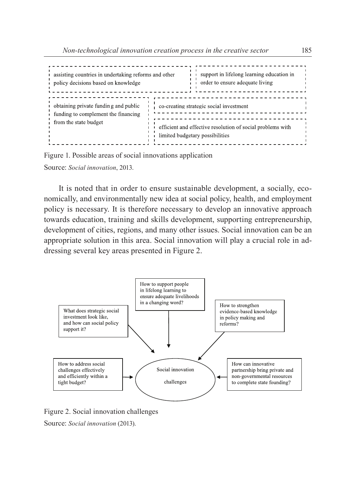```
assisting countries in undertaking reforms and other
                                                                          support in lifelong learning education in
policy decisions based on knowledge
                                                                         order to ensure adequate living
                                                                       \mathbf{I}obtaining private funding and public
                                                     co-creating strategic social investment
                                                        \frac{1}{2} = \frac{1}{2} = \frac{1}{2} = \frac{1}{2} = \frac{1}{2} = \frac{1}{2} = \frac{1}{2}. . . . . . . . . . . .
funding to complement the financing
                                                                             <u> - - - - - - - - - - - - - - - - -</u>
from the state budget
                                                     efficient and effective resolution of social problems with
                                                     limited budgetary possibilities
```
Figure 1. Possible areas of social innovations application Source: *Social innovation*, 2013.

It is noted that in order to ensure sustainable development, a socially, economically, and environmentally new idea at social policy, health, and employment policy is necessary. It is therefore necessary to develop an innovative approach towards education, training and skills development, supporting entrepreneurship, development of cities, regions, and many other issues. Social innovation can be an appropriate solution in this area. Social innovation will play a crucial role in addressing several key areas presented in Figure 2.



Figure 2. Social innovation challenges

Source: *Social innovation* (2013).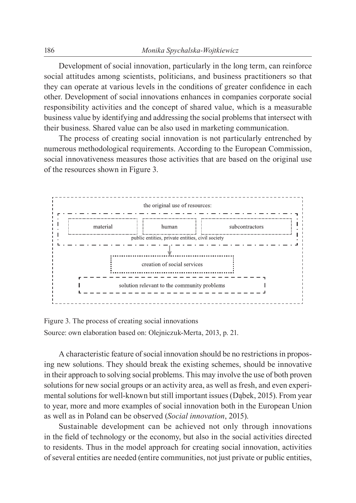Development of social innovation, particularly in the long term, can reinforce social attitudes among scientists, politicians, and business practitioners so that they can operate at various levels in the conditions of greater confidence in each other. Development of social innovations enhances in companies corporate social responsibility activities and the concept of shared value, which is a measurable business value by identifying and addressing the social problems that intersect with their business. Shared value can be also used in marketing communication.

The process of creating social innovation is not particularly entrenched by numerous methodological requirements. According to the European Commission, social innovativeness measures those activities that are based on the original use of the resources shown in Figure 3.



Figure 3. The process of creating social innovations Source: own elaboration based on: Olejniczuk-Merta, 2013, p. 21.

A characteristic feature of social innovation should be no restrictions in proposing new solutions. They should break the existing schemes, should be innovative in their approach to solving social problems. This may involve the use of both proven solutions for new social groups or an activity area, as well as fresh, and even experimental solutions for well-known but still important issues (Dąbek, 2015). From year to year, more and more examples of social innovation both in the European Union as well as in Poland can be observed (*Social innovation*, 2015).

Sustainable development can be achieved not only through innovations in the field of technology or the economy, but also in the social activities directed to residents. Thus in the model approach for creating social innovation, activities of several entities are needed (entire communities, not just private or public entities,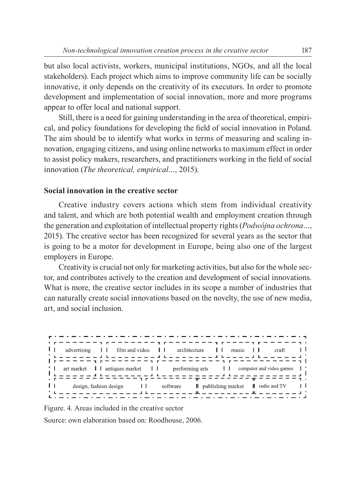but also local activists, workers, municipal institutions, NGOs, and all the local stakeholders). Each project which aims to improve community life can be socially innovative, it only depends on the creativity of its executors. In order to promote development and implementation of social innovation, more and more programs appear to offer local and national support.

Still, there is a need for gaining understanding in the area of theoretical, empirical, and policy foundations for developing the field of social innovation in Poland. The aim should be to identify what works in terms of measuring and scaling innovation, engaging citizens, and using online networks to maximum effect in order to assist policy makers, researchers, and practitioners working in the field of social innovation (*The theoretical, empirical…*, 2015).

#### **Social innovation in the creative sector**

Creative industry covers actions which stem from individual creativity and talent, and which are both potential wealth and employment creation through the generation and exploitation of intellectual property rights (*Podwójna ochrona…*, 2015). The creative sector has been recognized for several years as the sector that is going to be a motor for development in Europe, being also one of the largest employers in Europe.

Creativity is crucial not only for marketing activities, but also for the whole sector, and contributes actively to the creation and development of social innovations. What is more, the creative sector includes in its scope a number of industries that can naturally create social innovations based on the novelty, the use of new media, art, and social inclusion.



Figure. 4. Areas included in the creative sector

Source: own elaboration based on: Roodhouse, 2006.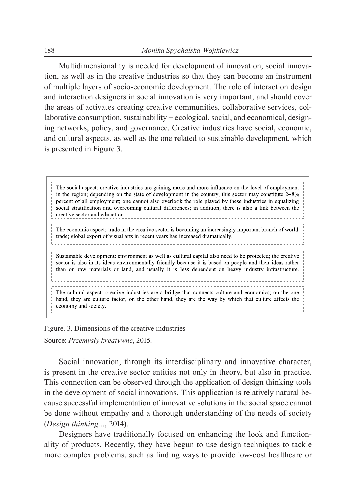Multidimensionality is needed for development of innovation, social innovation, as well as in the creative industries so that they can become an instrument of multiple layers of socio-economic development. The role of interaction design and interaction designers in social innovation is very important, and should cover the areas of activates creating creative communities, collaborative services, collaborative consumption, sustainability − ecological, social, and economical, designing networks, policy, and governance. Creative industries have social, economic, and cultural aspects, as well as the one related to sustainable development, which is presented in Figure 3.

The social aspect: creative industries are gaining more and more influence on the level of employment in the region; depending on the state of development in the country, this sector may constitute  $2-8\%$ percent of all employment; one cannot also overlook the role played by these industries in equalizing social stratification and overcoming cultural differences; in addition, there is also a link between the creative sector and education. The economic aspect: trade in the creative sector is becoming an increasingly important branch of world trade; global export of visual arts in recent years has increased dramatically. Sustainable development: environment as well as cultural capital also need to be protected; the creative sector is also in its ideas environmentally friendly because it is based on people and their ideas rather than on raw materials or land, and usually it is less dependent on heavy industry infrastructure. The cultural aspect: creative industries are a bridge that connects culture and economics; on the one hand, they are culture factor, on the other hand, they are the way by which that culture affects the economy and society.

Figure. 3. Dimensions of the creative industries

Source: *Przemysły kreatywne*, 2015.

Social innovation, through its interdisciplinary and innovative character, is present in the creative sector entities not only in theory, but also in practice. This connection can be observed through the application of design thinking tools in the development of social innovations. This application is relatively natural because successful implementation of innovative solutions in the social space cannot be done without empathy and a thorough understanding of the needs of society (*Design thinking…*, 2014).

Designers have traditionally focused on enhancing the look and functionality of products. Recently, they have begun to use design techniques to tackle more complex problems, such as finding ways to provide low-cost healthcare or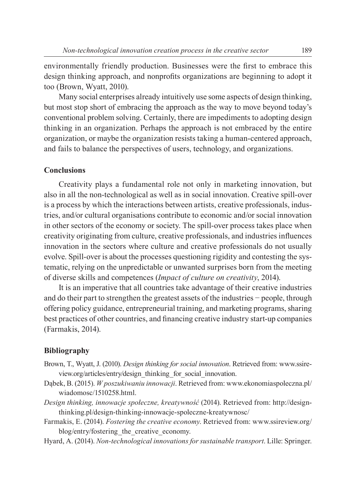environmentally friendly production. Businesses were the first to embrace this design thinking approach, and nonprofits organizations are beginning to adopt it too (Brown, Wyatt, 2010).

Many social enterprises already intuitively use some aspects of design thinking, but most stop short of embracing the approach as the way to move beyond today's conventional problem solving. Certainly, there are impediments to adopting design thinking in an organization. Perhaps the approach is not embraced by the entire organization, or maybe the organization resists taking a human-centered approach, and fails to balance the perspectives of users, technology, and organizations.

### **Conclusions**

Creativity plays a fundamental role not only in marketing innovation, but also in all the non-technological as well as in social innovation. Creative spill-over is a process by which the interactions between artists, creative professionals, industries, and/or cultural organisations contribute to economic and/or social innovation in other sectors of the economy or society. The spill-over process takes place when creativity originating from culture, creative professionals, and industries influences innovation in the sectors where culture and creative professionals do not usually evolve. Spill-over is about the processes questioning rigidity and contesting the systematic, relying on the unpredictable or unwanted surprises born from the meeting of diverse skills and competences (*Impact of culture on creativity*, 2014).

It is an imperative that all countries take advantage of their creative industries and do their part to strengthen the greatest assets of the industries − people, through offering policy guidance, entrepreneurial training, and marketing programs, sharing best practices of other countries, and financing creative industry start-up companies (Farmakis, 2014).

#### **Bibliography**

- Brown, T., Wyatt, J. (2010). *Design thinking for social innovation*. Retrieved from: www.ssireview.org/articles/entry/design\_thinking\_for\_social\_innovation.
- Dąbek, B. (2015). *W poszukiwaniu innowacji*. Retrieved from: www.ekonomiaspoleczna.pl/ wiadomosc/1510258.html.
- *Design thinking, innowacje społeczne, kreatywność* (2014). Retrieved from: http://designthinking.pl/design-thinking-innowacje-spoleczne-kreatywnosc/
- Farmakis, E. (2014). *Fostering the creative economy*. Retrieved from: www.ssireview.org/ blog/entry/fostering\_the\_creative\_economy.
- Hyard, A. (2014). *Non-technological innovations for sustainable transport*. Lille: Springer.